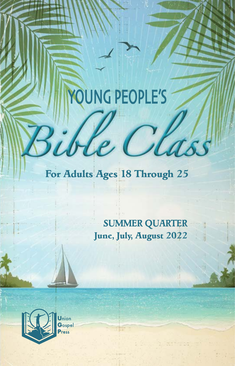# YOUNG PEOPLE'S

ible Clas

### *For Adults Ages 18 Through 25*

*SUMMER QUARTER June, July, August 2022*

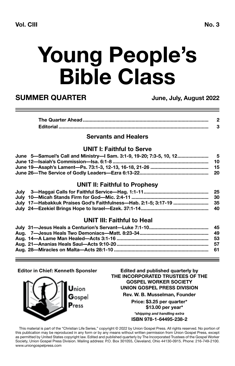## **Young People's Bible Class**

### **SUMMER QUARTER June, July, August 2022**

#### **Servants and Healers**

#### **UNIT I: Faithful to Serve**

| June 5—Samuel's Call and Ministry—I Sam. 3:1-9, 19-20; 7:3-5, 10, 12 5     |  |
|----------------------------------------------------------------------------|--|
|                                                                            |  |
| June 19—Asaph's Lament—Ps. 73:1-3. 12-13. 16-18. 21-26 ………………………………………… 15 |  |
|                                                                            |  |

### **UNIT II: Faithful to Prophesy**

|                                                                                | -25 |
|--------------------------------------------------------------------------------|-----|
|                                                                                |     |
| July 17—Habakkuk Praises God's Faithfulness—Hab. 2:1-5; 3:17-19 …………………………… 35 |     |
|                                                                                |     |

#### **UNIT III: Faithful to Heal**

#### **Editor in Chief: Kenneth Sponsler**



**Edited and published quarterly by THE INCORPORATED TRUSTEES OF THE GOSPEL WORKER SOCIETY UNION GOSPEL PRESS DIVISION Rev. W. B. Musselman, Founder Price: \$3.25 per quarter\* \$13.00 per year\*** *\*shipping and handling extra* **ISBN 978-1-64495-238-2**

This material is part of the "Christian Life Series," copyright © 2022 by Union Gospel Press. All rights reserved. No portion of this publication may be reproduced in any form or by any means without written permission from Union Gospel Press, except as permitted by United States copyright law. Edited and published quarterly by The Incorporated Trustees of the Gospel Worker Society, Union Gospel Press Division. Mailing address: P.O. Box 301055, Cleveland, Ohio 44130-0915. Phone: 216-749-2100. www.uniongospelpress.com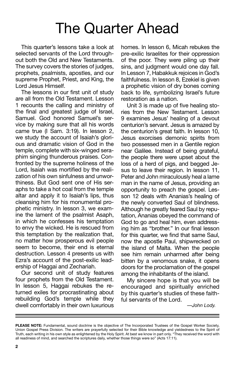### The Quarter Ahead

This quarter's lessons take a look at selected servants of the Lord throughout both the Old and New Testaments. The survey covers the stories of judges, prophets, psalmists, apostles, and our supreme Prophet, Priest, and King, the Lord Jesus Himself.

The lessons in our first unit of study are all from the Old Testament. Lesson 1 recounts the calling and ministry of the final and greatest judge of Israel, Samuel. God honored Samuel's service by making sure that all his words came true (I Sam. 3:19). In lesson 2, we study the account of Isaiah's glorious and dramatic vision of God in the temple, complete with six-winged seraphim singing thunderous praises. Confronted by the supreme holiness of the Lord, Isaiah was mortified by the realization of his own sinfulness and unworthiness. But God sent one of His seraphs to take a hot coal from the temple altar and apply it to Isaiah's lips, thus cleansing him for his monumental prophetic ministry. In lesson 3, we examine the lament of the psalmist Asaph, in which he confesses his temptation to envy the wicked. He is rescued from this temptation by the realization that, no matter how prosperous evil people seem to become, their end is eternal destruction. Lesson 4 presents us with Ezra's account of the post-exilic leadership of Haggai and Zechariah.

Our second unit of study features four prophets from the Old Testament. In lesson 5, Haggai rebukes the returned exiles for procrastinating about rebuilding God's temple while they dwell comfortably in their own luxurious

homes. In lesson 6, Micah rebukes the pre-exilic Israelites for their oppression of the poor. They were piling up their sins, and judgment would one day fall. In Lesson 7, Habakkuk rejoices in God's faithfulness. In lesson 8, Ezekiel is given a prophetic vision of dry bones coming back to life, symbolizing Israel's future restoration as a nation.

Unit 3 is made up of five healing stories from the New Testament. Lesson 9 examines Jesus' healing of a devout centurion's servant. Jesus is amazed by the centurion's great faith. In lesson 10, Jesus exorcises demonic spirits from two possessed men in a Gentile region near Galilee. Instead of being grateful, the people there were upset about the loss of a herd of pigs, and begged Jesus to leave their region. In lesson 11, Peter and John miraculously heal a lame man in the name of Jesus, providing an opportunity to preach the gospel. Lesson 12 deals with Ananias's healing of the newly converted Saul of blindness. Although he greatly feared Saul by reputation, Ananias obeyed the command of God to go and heal him, even addressing him as "brother." In our final lesson for this quarter, we find that same Saul, now the apostle Paul, shipwrecked on the island of Malta. When the people see him remain unharmed after being bitten by a venomous snake, it opens doors for the proclamation of the gospel among the inhabitants of the island.

My sincere hope is that you will be encouraged and spiritually enriched by this quarter's studies of these faithful servants of the Lord.

*—John Lody.*

**PLEASE NOTE:** Fundamental, sound doctrine is the objective of The Incorporated Trustees of the Gospel Worker Society, Union Gospel Press Division. The writers are prayerfully selected for their Bible knowledge and yieldedness to the Spirit of Truth, each writing in his own style as enlightened by the Holy Spirit. At best we know in part only. "They received the word with all readiness of mind, and searched the scriptures daily, whether those things were so" (Acts 17:11).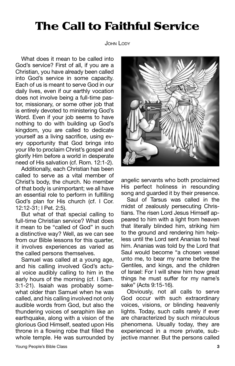### The Call to Faithful Service

#### John Lody

What does it mean to be called into God's service? First of all, if you are a Christian, you have already been called into God's service in some capacity. Each of us is meant to serve God in our daily lives, even if our earthly vocation does not involve being a full-time pastor, missionary, or some other job that is entirely devoted to ministering God's Word. Even if your job seems to have nothing to do with building up God's kingdom, you are called to dedicate yourself as a living sacrifice, using every opportunity that God brings into your life to proclaim Christ's gospel and glorify Him before a world in desperate need of His salvation (cf. Rom. 12:1-2).

Additionally, each Christian has been called to serve as a vital member of Christ's body, the church. No member of that body is unimportant; we all have an essential role to perform in fulfilling God's plan for His church (cf. I Cor. 12:12-31; I Pet. 2:5).

But what of that special calling to full-time Christian service? What does it mean to be "called of God" in such a distinctive way? Well, as we can see from our Bible lessons for this quarter, it involves experiences as varied as the called persons themselves.

Samuel was called at a young age, and his calling involved God's actual voice audibly calling to him in the early hours of the morning (cf. I Sam. 3:1-21). Isaiah was probably somewhat older than Samuel when he was called, and his calling involved not only audible words from God, but also the thundering voices of seraphim like an earthquake, along with a vision of the glorious God Himself, seated upon His throne in a flowing robe that filled the whole temple. He was surrounded by



angelic servants who both proclaimed His perfect holiness in resounding song and guarded it by their presence.

Saul of Tarsus was called in the midst of zealously persecuting Christians. The risen Lord Jesus Himself appeared to him with a light from heaven that literally blinded him, striking him to the ground and rendering him helpless until the Lord sent Ananias to heal him. Ananias was told by the Lord that Saul would become "a chosen vessel unto me, to bear my name before the Gentiles, and kings, and the children of Israel: For I will shew him how great things he must suffer for my name's sake" (Acts 9:15-16).

Obviously, not all calls to serve God occur with such extraordinary voices, visions, or blinding heavenly lights. Today, such calls rarely if ever are characterized by such miraculous phenomena. Usually today, they are experienced in a more private, subjective manner. But the persons called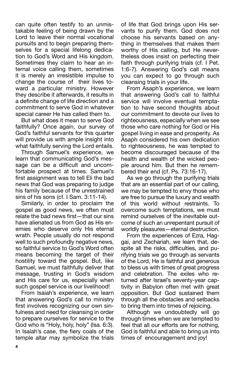can quite often testify to an unmistakable feeling of being drawn by the Lord to leave their normal vocational pursuits and to begin preparing themselves for a special lifelong dedication to God's Word and His kingdom. Sometimes they claim to hear an internal voice calling them, sometimes it is merely an irresistible impulse to change the course of their lives toward a particular ministry. However they describe it afterwards, it results in a definite change of life direction and a commitment to serve God in whatever special career He has called them to.

But what does it mean to serve God faithfully? Once again, our survey of God's faithful servants for this quarter will provide us with ample insight into what faithfully serving the Lord entails.

Through Samuel's experience, we learn that communicating God's message can be a difficult and uncomfortable prospect at times. Samuel's first assignment was to tell Eli the bad news that God was preparing to judge his family because of the unrestrained sins of his sons (cf. I Sam. 3:11-14).

Similarly, in order to proclaim the gospel as good news, we often must relate the bad news first—that our sins have alienated us from God as His enemies who deserve only His eternal wrath. People usually do not respond well to such profoundly negative news, so faithful service to God's Word often means becoming the target of their hostility toward the gospel. But, like Samuel, we must faithfully deliver that message, trusting in God's wisdom and His care for us, especially when such gospel service is our livelihood!

From Isaiah's experience, we learn that answering God's call to ministry first involves recognizing our own sinfulness and need for cleansing in order to prepare ourselves for service to the God who is "Holy, holy, holy" (Isa. 6:3). In Isaiah's case, the fiery coals of the temple altar may symbolize the trials of life that God brings upon His servants to purify them. God does not choose his servants based on anything in themselves that makes them worthy of His calling, but He nevertheless does insist on perfecting their faith through purifying trials (cf. I Pet. 1:6-7). Answering God's call means you can expect to go through such cleansing trials in your life.

From Asaph's experience, we learn that answering God's call to faithful service will involve eventual temptation to have second thoughts about our commitment to devote our lives to righteousness, especially when we see those who care nothing for God or His gospel living in ease and prosperity. As Asaph considered his own dedication to righteousness, he was tempted to become discouraged because of the health and wealth of the wicked people around him. But then he remembered their end (cf. Ps. 73:16-17).

As we go through the purifying trials that are an essential part of our calling, we may be tempted to envy those who are free to pursue the luxury and wealth of this world without restraints. To overcome such temptations, we must remind ourselves of the inevitable outcome of such an unrepentant pursuit of worldly pleasures—eternal destruction.

From the experiences of Ezra, Haggai, and Zechariah, we learn that, despite all the risks, difficulties, and purifying trials we go through as servants of the Lord, He is faithful and generous to bless us with times of great progress and celebration. The exiles who returned after Israel's seventy-year captivity in Babylon often met with great opposition. But God sustained them through all the obstacles and setbacks to bring them into times of rejoicing.

Although we undoubtedly will go through times when we are tempted to feel that all our efforts are for nothing, God is faithful and able to bring us into times of encouragement and joy!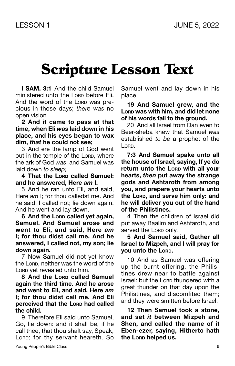### Scripture Lesson Text

**I SAM. 3:1** And the child Samuel ministered unto the Lorp before Eli. And the word of the LORD was precious in those days; *there was* no open vision.

**2 And it came to pass at that time, when Eli** *was* **laid down in his place, and his eyes began to wax dim,** *that* **he could not see;**

3 And ere the lamp of God went out in the temple of the Lorp, where the ark of God *was*, and Samuel was laid down *to sleep;*

**4 That the Lord called Samuel: and he answered, Here** *am* **I.**

5 And he ran unto Eli, and said, Here *am* I; for thou calledst me. And he said, I called not; lie down again. And he went and lay down.

 $6$  And the Lorp called vet again. **Samuel. And Samuel arose and went to Eli, and said, Here** *am* **I; for thou didst call me. And he answered, I called not, my son; lie down again.**

7 Now Samuel did not yet know the Lorp, neither was the word of the Lorp yet revealed unto him.

**8 And the Lord called Samuel again the third time. And he arose and went to Eli, and said, Here** *am* **I; for thou didst call me. And Eli perceived that the Lorp had called the child.**

9 Therefore Eli said unto Samuel, Go, lie down: and it shall be, if he call thee, that thou shalt say, Speak, LORD; for thy servant heareth. So Samuel went and lay down in his place.

**19 And Samuel grew, and the Lord was with him, and did let none of his words fall to the ground.**

20 And all Israel from Dan even to Beer-sheba knew that Samuel *was* established *to be* a prophet of the  $\overline{\phantom{a}}$   $\overline{\phantom{a}}$ 

**7:3 And Samuel spake unto all the house of Israel, saying, If ye do return unto the Lorp with all your hearts,** *then* **put away the strange gods and Ashtaroth from among you, and prepare your hearts unto the Lord, and serve him only: and he will deliver you out of the hand of the Philistines.**

4 Then the children of Israel did put away Baalim and Ashtaroth, and served the Lorp only.

### **5 And Samuel said, Gather all Israel to Mizpeh, and I will pray for you unto the Lord.**

10 And as Samuel was offering up the burnt offering, the Philistines drew near to battle against Israel: but the Lorp thundered with a great thunder on that day upon the Philistines, and discomfited them; and they were smitten before Israel.

**12 Then Samuel took a stone, and set** *it* **between Mizpeh and Shen, and called the name of it Eben-ezer, saying, Hitherto hath the Lord helped us.**